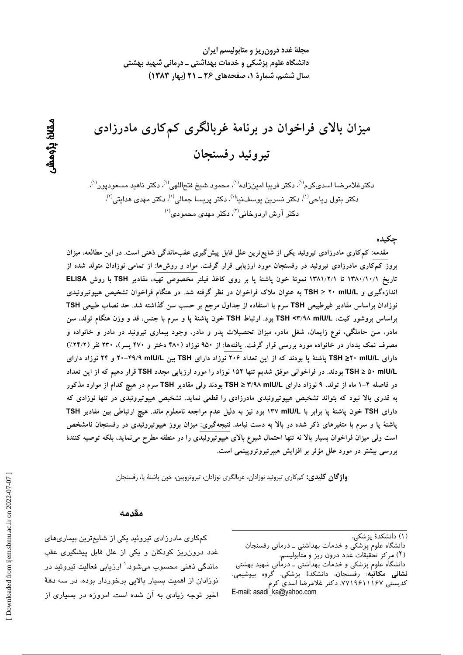مجلهٔ غدد درون ریز و متابولیسم ایران دانشگاه علوم پزشکی و خدمات بهداشتی ــ درمانی شهید بهشتی سال ششم، شمارة 1، صفحههای ۲۶ ـ ۲۱ (بهار ۱۳۸۳)

میزان بالای فراخوان در برنامهٔ غربالگری کمکاری مادرزادی تيروئيد رفسنجان

دكترغلامرضا اسدىكرم<sup>(۱)</sup>، دكتر فريبا امينزاده<sup>(۱)</sup>، محمود شيخ فتحاللهي<sup>(۱)</sup>، دكتر ناهيد مسعوديور<sup>(۱)</sup>، دکتر بتول ریاحی<sup>(۱)</sup>، دکتر نسرین یوسف $\omega^{(1)}$ ، دکتر پریسا جمالی $^{(1)}$ ، دکتر مهدی هدایتی $^{(2)}$ ،  $^{(1)}$ دکتر آرش اردوخانی $^{(7)}$ ، دکتر مهدی محمودی

جكىدە

مقدمه: کم کاری مادرزادی تیروئید یکی از شایع ترین علل قابل پیش گیری عقبماندگی ذهنی است. در این مطالعه، میزان بروز کمکاری مادرزادی تیروئید در رفسنجان مورد ارزیابی قرار گرفت. مواد و روش۵ا: از تمامی نوزادان متولد شده از تاريخ ١٣٨٠/١٠/١ تا ١٣٨١/٢/١ نمونة خون پاشنة پا بر روى كاغذ فيلتر مخصوص تهيه، مقادير TSH با روش ELISA اندازهگیری و TSH ≥ ۲۰ mIU/L به عنوان ملاک فراخوان در نظر گرفته شد. در هنگام فراخوان تشخیص هیپوتیروئیدی نوزادان براساس مقادیر غیرطبیعی TSH سرم با استفاده از جداول مرجع بر حسب سن گذاشته شد. حد نصاب طبیعی TSH براساس بروشور كيت، TSH <۳/۹۸ mlU/L بود. ارتباط TSH خون پاشنهٔ پا و سرم با جنس، قد و وزن هنگام تولد، سن مادر، سن حاملگی، نوع زایمان، شغل مادر، میزان تحصیلات پدر و مادر، وجود بیماری تیروئید در مادر و خانواده و مصرف نمک یددار در خانواده مورد بررسی قرار گرفت. یافتهها: از ۹۵۰ نوزاد (۴۸۰ دختر و ۴۷۰ پسر)، ۲۳۰ نفر (۲۴/۲٪) دارای TSH ≥۲۰ mIU/L پاشنهٔ پا بودند که از این تعداد ۲۰۶ نوزاد دارای TSH بین H۹/۹ mIU/L و ۲۴ نوزاد دارای TSH ≥ ۵۰ mIU/L بودند. در فراخوانی موفق شدیم تنها ۱۵۲ نوزاد را مورد ارزیابی مجدد TSH قرار دهیم که از این تعداد در فاصله ۴−۱ ماه از تولد، ۹ نوزاد دارای TSH ≥ ۳/۹۸ mIU/L بودند ولی مقادیر TSH سرم در هیچ کدام از موارد مذکور به قدری بالا نبود که بتواند تشخیص هیپوتیروئیدی مادرزادی را قطعی نماید. تشخیص هیپوتیروئیدی در تنها نوزادی که دارای TSH خون پاشنهٔ پا برابر با ۱۳۷ mIU/L بود نیز به دلیل عدم مراجعه نامعلوم ماند. هیچ ارتباطی بین مقادیر TSH پاشنهٔ پا و سرم با متغیرهای ذکر شده در بالا به دست نیامد. نتیجهگیری: میزان بروز هیپوتیروئیدی در رفسنجان نامشخص است ولی میزان فراخوان بسیار بالا نه تنها احتمال شیوع بالای هیپوتیروئیدی را در منطقه مطرح می نماید، بلکه توصیه کنندهٔ بررسی بیشتر در مورد علل مؤثر بر افزایش هیپرتیروتروپینمی است.

واژگان کلیدی: کمکاری تیروئید نوزادان، غربالگری نوزادان، تیروتروپین، خون پاشنهٔ پا، رفسنجان

#### مقدمه

دانشگاه علوم پزشکی و خدمات بهداشتی ـ درمانی رفسنجان

دانشگاه علوم پزشکی و خدمات بهداشتی ــ درمانی شهید بهشتی **نشانی مکاتبه**، رفسنجان، دانشکدهٔ پزشکی، گروه بیوشیمی، کدیستی ۷۷۱۹۶۱۱۱۶۷، دکتر غلامرضا اسدی کرم E-mail: asadi ka@vahoo.com

کمکاری مادرزادی تیروئید یکی از شایعترین بیماریهای غدد درونرریز کودکان و یکی از علل قابل پیشگیری عقب ماندگی ذهنی محسوب میشود.' ارزیابی فعالیت تیروئید در نوزادان از اهمیت بسیار بالایی برخوردار بوده، در سه دههٔ اخیر توجه زیادی به آن شده است. امروزه در بسیاری از

<sup>(</sup>۱) دانشکدهٔ پزشکی،

<sup>(</sup>۲) مرکز تحقیقات غدد درون ریز و متآبولیسم،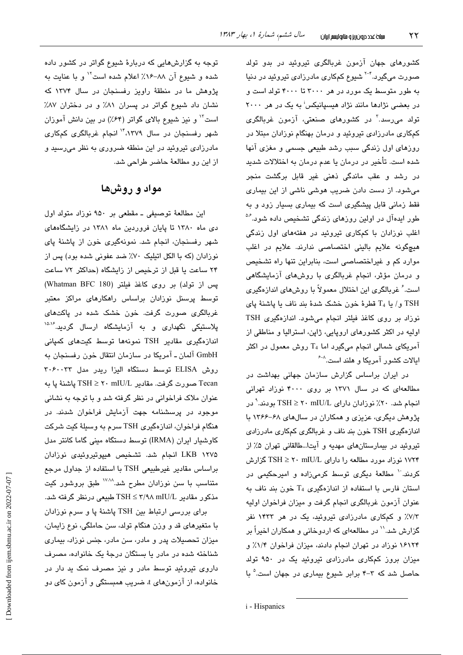کشورهای جهان آزمون غربالگری تیروئید در بدو تولد صورت میگیرد.<sup>۲-۲</sup> شیوع کمکاری مادرزادی تیروئید در دنیا به طور متوسط یک مورد در هر ۳۰۰۰ تا ۴۰۰۰ تولد است و در بعضی نژادها مانند نژاد هیسپانیکس<sup>:</sup> به یک در هر ۲۰۰۰ تولد می٫رسد.<sup>۳</sup> در کشورها*ی* صنعتی، آزمون غربالگری کمکاری مادرزادی تیروئید و درمان بهنگام نوزادان مبتلا در روزهای اول زندگی سبب رشد طبیعی جسمی و مغزی آنها شده است. تأخیر در درمان یا عدم درمان به اختلالات شدید در رشد و عقب ماندگی ذهنی غیر قابل برگشت منجر میشود. از دست دادن ضریب هوشی ناشی از این بیماری فقط زمانی قابل پیشگیری است که بیماری بسیار زود و به طور ایدهآل در اولین روزهای زندگی تشخیص داده شود.<sup>۵۶</sup> اغلب نوزادان با کمکاری تیروئید در هفتههای اول زندگی هیچگونه علایم بالینی اختصاصی ندارند. علایم در اغلب موارد کم و غیراختصاصی است، بنابراین تنها راه تشخیص و درمان مؤثر، انجام غربالگری با روشهای آزمایشگاهی است. ٔ غربالگری این اختلال معمولاً با روشهای اندازهگیری  $T_4$  و/ يا  $T_4$  قطرهٔ خون خشک شدهٔ بند ناف با پاشنهٔ پای نوزاد بر روی کاغذ فیلتر انجام میشود. اندازهگیری TSH اولیه در اکثر کشورهای اروپایی، ژاپن، استرالیا و مناطقی از آمریکای شمالی انجام میگیرد اما T<sub>4</sub> روش معمول در اکثر ایالات کشور آمریکا و هلند است.<sup>^-۶</sup>

در ایران براساس گزارش سازمان جهانی بهداشت در مطالعهای که در سال ۱۳۷۱ بر روی ۴۰۰۰ نوزاد تهرانی انجام شد. ۲۰٪ نوزادان دارای r mIU/L ۲۰ ⊡ بودند. ٌ در پژوهش دیگری، عزیزی و همکاران در سالهای ۶۸-۱۳۶۶ با اندازهگیری TSH خون بند ناف و غربالگری کمکاری مادرزادی تیروئید در بیمارستانهای مهدیه و آیتا...طالقانی تهران ۵٪ از ۱۷۲۴ نوزاد مورد مطالعه را دارای mIU/L ۲۰ mIU گزارش کردند. `` مطالعهٔ دیگری توسط کرمی;زاده و امیرحکیمی در استان فارس با استفاده از اندازهگیری T4 خون بند ناف به عنوان آزمون غربالگری انجام گرفت و میزان فراخوان اولیه ۷/۳٪ و کمکاری مادرزادی تیروئید، یک در هر ۱۴۳۳ نفر گزارش شد.'` در مطالعهای که اردوخانی و همکاران اخیراً بر ۱۶۱۲۴ نوزاد در تهران انجام دادند، میزان فراخوان ۱/۴٪ و میزان بروز کمکاری مادرزادی تیروئید یک در ۹۵۰ تولد حاصل شد که ۳-۴ برابر شیوع بیماری در جهان است.<sup>۵</sup> با

توجه به گزارشهایی که دربارهٔ شیوع گواتر در کشور داده شده و شیوع آن ۸۸-۱۶٪ اعلام شده است ۱٬ و با عنایت به پژوهش ما در منطقهٔ راویز رفسنجان در سال ۱۳۷۴ که نشان داد شیوع گواتر در پسران ۸٪ و در دختران ۸۷٪ است" و نیز شیوع بالای گواتر (۶۴٪) در بین دانش آموزان شهر رفسنجان در سال ۱۳۷۹،<sup>۱۴</sup> انجام غربالگری کمکاری مادرزادی تیروئید در این منطقه ضروری به نظر میرسید و از این رو مطالعهٔ حاضر طراحی شد.

# مواد و روشها

این مطالعهٔ توصیفی ـ مقطعی بر ۹۵۰ نوزاد متولد اول دی ماه ۱۳۸۰ تا پایان فروردین ماه ۱۳۸۱ در زایشگاههای شهر رفسنجان، انجام شد. نمونهگیری خون از پاشنهٔ پای نوزادان (که با الکل اتیلیک ۷۰٪ ضد عفونی شده بود) پس از ۲۴ ساعت یا قبل از ترخیص از زایشگاه (حداکثر ۷۲ ساعت يس از تولد) بر روى كاغذ فيلتر (Whatman BFC 180) توسط پرسنل نوزادان براساس راهکارهای مراکز معتبر غربالگری صورت گرفت. خون خشک شده در پاکتهای پلاستیکی نگهداری و به آزمایشگاه ارسال گردید.<sup>۱۵،۷</sup> اندازەگیری مقادیر TSH نمونەھا توسط کیتھای کمپانی GmbH آلمان ـ آمريكا در سازمان انتقال خون رفسنجان به روش ELISA توسط دستگاه الیزا ریدر مدل ۳۰۶۰۰۳۳ Tecan صورت گرفت. مقادیر TSH ≥ ۲۰ mIU/L پاشنهٔ پا به عنوان ملاک فراخوانی در نظر گرفته شد و با توجه به نشانی موجود در پرسشنامه جهت آزمایش فراخوان شدند. در هنگام فراخوان، اندازهگیری TSH سرم به وسیلهٔ کیت شرکت کاوشیار ایران (IRMA) توسط دستگاه مینی گاما کانتر مدل LKB ۱۲۷۵ انجام شد. تشخیص هیپوتیروئیدی نوزادان براساس مقادیر غیرطبیعی TSH با استفاده از جداول مرجع متناسب با سن نوزادان مطرح شد.<sup>۱۷٬۱۸</sup> طبق بروشور کیت مذکور مقادیر mIU/L ۳/۹۸ mIU/L طبیعی درنظر گرفته شد.

برای بررسی ارتباط بین TSH پاشنهٔ پا و سرم نوزادان با متغیرهای قد و وزن هنگام تولد، سن حاملگی، نوع زایمان، میزان تحصیلات پدر و مادر، سن مادر، جنس نوزاد، بیماری شناخته شده در مادر یا بستگان درجهٔ یک خانواده، مصرف داروی تیروئید توسط مادر و نیز مصرف نمک ید دار در خانواده، از آزمونهای t، ضریب همبستگی و آزمون کای دو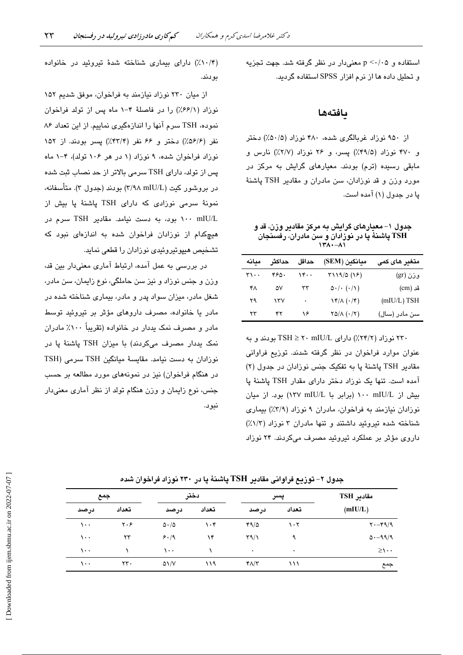استفاده و p <٠/٠۵ معنى دار در نظر گرفته شد. جهت تجزیه و تحلیل داده ها از نرم افزار SPSS استفاده گردید.

### بافتهها

از ۹۵۰ نوزاد غربالگری شده، ۴۸۰ نوزاد (۵۰/۵٪) دختر و ۴۷۰ نوزاد (۴۹/۵٪) پسر، و ۲۶ نوزاد (۲/۷٪) نارس و مابقی رسیده (ترم) بودند. معیارهای گرایش به مرکز در مورد وزن و قد نوزادان، سن مادران و مقادير TSH پاشنهٔ پا در جدول (۱) آمده است.

جدول ۱– معیارهای گرایش به مرکز مقادیر وزن، قد و TSH **پاشنهٔ پا در نوزادان و** سن مادران، رفسنجان  $1 + 1 - 1$ 

| معانه | حداكثر | حداقل | مبانگين (SEM)                            | م <b>تغی</b> ر های کمی |
|-------|--------|-------|------------------------------------------|------------------------|
| ۳۱۰۰  | ۴۶۵۰   | ۱۴۰۰  | Y119/0 (19)                              | وزن (gr)               |
| ۴۸    | ۵۷     | ٣٣    | $\Delta \cdot / \cdot (\cdot / \Lambda)$ | قد (cm)                |
| ۲۹    | ۱۳۷    | ۰     | $\sqrt{\frac{\mu}{\lambda}(\cdot/\tau)}$ | $(mIU/L)$ TSH          |
| ۲۳    | ۴۲     | ۱۶    | $YQ/\Lambda$ $( \cdot / Y)$              | سن مادر (سال)          |

۲۳۰ نوزاد (۲۴/۲٪) دارای TSH ≥ ۲۰ mIU/L بودند و به عنوان موارد فراخوان در نظر گرفته شدند. توزیع فراوانی مقادیر TSH یاشنهٔ یا به تفکیک جنس نوزادان در جدول (۲) آمده است. تنها یک نوزاد دختر دارای مقدار TSH پاشنهٔ پا ىش از ١٠٠ mIU/L ١٠٠ (برابر با ١٣٧ ١٣٧) بود. از ميان نوزادان نیازمند به فراخوان، مادران ۹ نوزاد (۳/۹٪) بیماری شناخته شده تیروئید داشتند و تنها مادران ۳ نوزاد (۱/۳٪) داروی مؤثر بر عملکرد تیروئید مصرف میکردند. ۲۴ نوزاد

(۰/۴٪) دارای بیماری شناخته شدهٔ تیروئید در خانواده بودند.

از میان ۲۳۰ نوزاد نیازمند به فراخوان، موفق شدیم ۱۵۲ نوزاد (۶۶/۱٪) را در فاصلهٔ ۴-۱ ماه پس از تولد فراخوان نموده، TSH سرم آنها را اندازهگیری نماییم. از این تعداد ۸۶ نفر (۵۶/۶٪) دختر و ۶۶ نفر (۴۳/۴٪) پسر بودند. از ۱۵۲ نوزاد فراخوان شده، ۹ نوزاد (۱ در هر ۱۰۶ تولد)، ۴-۱ ماه پس از تولد، دارای TSH سرمی بالاتر از حد نصاب ثبت شده در بروشور کیت (٣/٩٨ mIU/L) بودند (جدول ٣). متأسفانه، نمونهٔ سرمی نوزادی که دارای TSH یاشنهٔ یا بیش از ۱۰۰ mIU/L بود، به دست نیامد. مقادیر TSH سرم در هیچکدام از نوزادان فراخوان شده به اندازهای نبود که تشخيص هيپوتيروئيدي نوزادان را قطعي نمايد.

در بررسی به عمل آمده، ارتباط آماری معنیدار بین قد، وزن و جنس نوزاد و نیز سن حاملگی، نوع زایمان، سن مادر، شغل مادر، میزان سواد پدر و مادر، بیماری شناخته شده در مادر یا خانواده، مصرف داروهای مؤثر بر تیروئید توسط مادر و مصرف نمک پددار در خانواده (تقریباً ۱۰۰٪ مادران نمک یددار مصرف میکردند) با میزان TSH پاشنهٔ یا در نوزادان به دست نيامد. مقايسهٔ ميانگين TSH سرمي (TSH در هنگام فراخوان) نیز در نمونههای مورد مطالعه بر حسب جنس، نوع زایمان و وزن هنگام تولد از نظر آماری معنیدار نىو د.

مقادير TSH دختر جمع يسر  $(mIU/L)$ تعداد تعداد تعداد درصد درصد درصد  $\mathbf{y} \cdot \mathbf{y}$  $\sqrt{1}$  $\Delta \cdot / \Delta$  $\eta \cdot \mathfrak{r}$  $49/0$  $\eta \cdot \tau$  $Y - Y = 9$  $5.19$  $\sqrt{1 + \frac{1}{2}}$  $\tau\tau$  $\lambda$ ۴  $\Gamma \gamma / \gamma$ ٩  $0.49/9$  $\sqrt{1}$  $\lambda$  $\sqrt{1}$  $\lambda$  $\geq \wedge$ .  $\tau\tau$ .  $\lambda \cdot \cdot$  $\triangle \frac{1}{V}$  $119$  $Y/\Upsilon$  $\vee$ جمع

جدول ۲– توزیع فراوانی مقادیر TSH پاشنهٔ پا در ۲۳۰ نوزاد فراخوان شده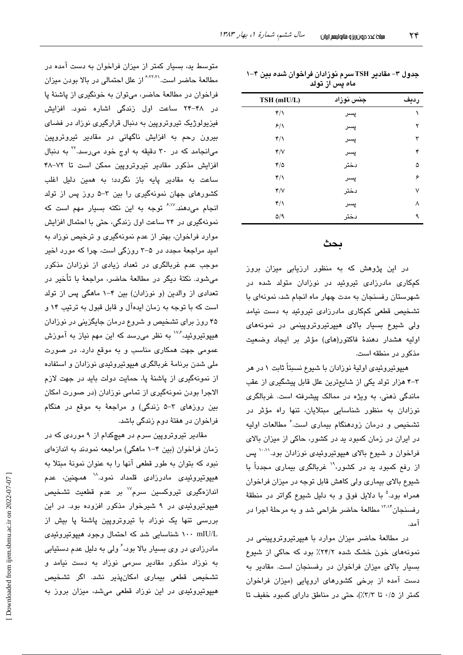| TSH (mIU/L)                 | جنس نوزاد | رديف |
|-----------------------------|-----------|------|
| $\mathfrak{r}/\mathfrak{r}$ | پسر       | ١    |
| 8/1                         | پسر       | ۲    |
| $\mathfrak{r}/\mathfrak{r}$ | پسر       | ٣    |
| Y/V                         | پسر       | ۴    |
| $\mathfrak{r}/\mathfrak{0}$ | دختر      | ۵    |
| $\mathbf{r}/\mathbf{v}$     | پسر       | ۶    |
| Y/V                         | دختر      | ٧    |
| $\mathfrak{r}/\mathfrak{r}$ | پسر       | ٨    |
| $\Delta$ /9                 | دختر      | ٩    |
|                             |           |      |

| جدول ۳– مقادیر TSH سرم نوزادان فراخوان شده بین ۴–۱ |
|----------------------------------------------------|
| ماه پس از تولد                                     |

## بحث

در این پژوهش که به منظور ارزیابی میزان بروز کمکاری مادرزادی تیروئید در نوزادان متولد شده در شهرستان رفسنجان به مدت چهار ماه انجام شد، نمونهای با تشخیص قطعی کمکاری مادرزادی تیروئید به دست نیامد ولی شیوع بسیار بالای هیپرتیروتروپینمی در نمونههای اوليه هشدار دهندهٔ فاكتور(های) مؤثر بر ایجاد وضعیت مذکور در منطقه است.

هیپوتیروئیدی اولیهٔ نوزادان با شیوع نسبتاً ثابت ۱ در هر ۳-۳ هزار تولد یکی از شایعترین علل قابل پیشگیری از عقب ماندگی ذهنی، به ویژه در ممالک پیشرفته است. غربالگری نوزادان به منظور شناسایی مبتلایان، تنها راه مؤثر در تشخیص و درمان زودهنگام بیماری است. ٔ مطالعات اولیه در ایران در زمان کمبود ید در کشور، حاکی از میزان بالای فراخوان و شیوع بالای هیپوتیروئیدی نوزادان بود.<sup>۱۰،۱۱</sup> پس از رفع کمبود ید در کشور، ۱٬ غربالگری بیماری مجدداً با شیوع بالای بیماری ولی کاهش قابل توجه در میزان فراخوان همراه بود.<sup>۵</sup> با دلایل فوق و به دلیل شیوع گواتر در منطقهٔ رفسنجان<sup>۱۳٬۱۴</sup> مطالعهٔ حاضر طراحی شد و به مرحلهٔ اجرا در آمد.

در مطالعهٔ حاضر میزان موارد با هیپرتیروتروپینمی در نمونههای خون خشک شده ۲۴/۲٪ بود که حاکی از شیوع بسیار بالای میزان فراخوان در رفسنجان است. مقادیر به دست آمده از برخی کشورهای اروپایی (میزان فراخوان کمتر از ۰/۵ تا ٣/٣٪)، حتى در مناطق داراى كمبود خفيف تا

متوسط ید، بسیار کمتر از میزان فراخوان به دست آمده در مطالعهٔ حاضر است.<sup>۶٬۲۲٬۲</sup>۱ز علل احتمالی در بالا بودن میزان فراخوان در مطالعهٔ حاضر، میتوان به خونگیری از پاشنهٔ پا در ۴۸-۲۴ ساعت اول زندگی اشاره نمود. افزایش فیزیولوژیک تیروتروپین به دنبال قرارگیری نوزاد در فضای بیرون رحم به افزایش ناگهانی در مقادیر تیروتروپین میانجامد که در ۳۰ دقیقه به اوج خود می رسد. ۲٬ به دنبال افزایش مذکور مقادیر تیروتروپین ممکن است تا ۷۲–۴۸ ساعت به مقادیر پایه باز نگردد؛ به همین دلیل اغلب کشورهای جهان نمونهگیری را بین ۳-۵ روز پس از تولد انجام می،دهند.<sup>۶٬۱۷</sup> توجه به این نکته بسیار مهم است که نمونهگیری در ۲۴ ساعت اول زندگی، حتی با احتمال افزایش موارد فراخوان، بهتر از عدم نمونهگیری و ترخیص نوزاد به امید مراجعهٔ مجدد در ۵–۳ روزگی است، چرا که مورد اخیر موجب عدم غربالگری در تعداد زیادی از نوزادان مذکور میشود. نکتهٔ دیگر در مطالعهٔ حاضر، مراجعهٔ با تأخیر در تعدادی از والدین (و نوزادان) بین ۴-۱ ماهگی پس از تولد است که با توجه به زمان ایدهآل و قابل قبول به ترتیب ۱۴ و ۴۵ روز برای تشخیص و شروع درمان جایگزینی در نوزادان هیپوتیروئید، گ<sup>۱۷۴</sup> به نظر می<sub>ا</sub>رسد که این مهم نیاز به آموزش عمومی جهت همکاری مناسب و به موقع دارد. در صورت ملی شدن برنامهٔ غربالگری هیپوتیروئیدی نوزادان و استفاده از نمونهگیری از پاشنهٔ یا، حمایت دولت باید در جهت لازم الاجرا بودن نمونهگیری از تمامی نوزادان (در صورت امکان بین روزهای ۳-۵ زندگی) و مراجعهٔ به موقع در هنگام فراخوان در هفتهٔ دوم زندگی باشد.

مقادیر تیروتروپین سرم در هیچکدام از ۹ موردی که در زمان فراخوان (بین ۴-۱ ماهگی) مراجعه نمودند به اندازهای نبود که بتوان به طور قطعی آنها را به عنوان نمونهٔ مبتلا به هیپوتیروئی*دی* مادرزادی قلمداد نمود.<sup>۱۸</sup> همچنین، عدم اندازهگیری تیروکسین سرم<sup>۱۷</sup> بر عدم قطعیت تشخیص هیپوتیروئیدی در ۹ شیرخوار مذکور افزوده بود. در این بررسی تنها یک نوزاد با تیروتروپین پاشنهٔ پا بیش از ۱۰۰ mIU/L شناسایی شد که احتمال وجود هیپوتیروئیدی مادرزادی در وی بسیار بالا بود، ٔ ولی به دلیل عدم دستیابی به نوزاد مذکور مقادیر سرمی نوزاد به دست نیامد و تشخیص قطعی بیماری امکانپذیر نشد. اگر تشخیص هیپوتیروئیدی در این نوزاد قطعی میشد، میزان بروز به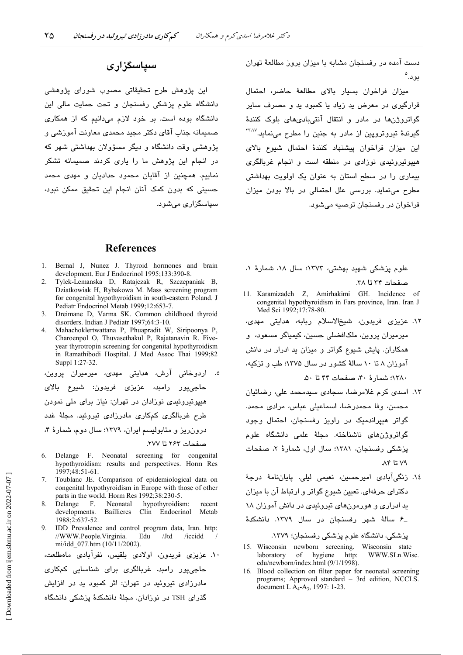دست آمده در رفسنجان مشابه با میزان بروز مطالعهٔ تهران بود.°

میزان فراخوان بسیار بالای مطالعهٔ حاضر، احتمال قرارگیری در معرض ید زیاد یا کمبود ید و مصرف سایر گواتروژنها در مادر و انتقال آنتیبادیهای بلوک کنندهٔ گیرندهٔ تیروترویین از مادر به جنین را مطرح مینماید.<sup>۲۳٬۷</sup> این میزان فراخوان پیشنهاد کنندهٔ احتمال شیوع بالای هیپوتیروئیدی نوزادی در منطقه است و انجام غربالگری بیماری را در سطح استان به عنوان یک اولویت بهداشتی مطرح می نماید. بررسی علل احتمالی در بالا بودن میزان فراخوان در رفسنجان توصيه می شود.

#### **References**

- 1. Bernal J, Nunez J. Thyroid hormones and brain development. Eur J Endocrinol 1995;133:390-8.
- 2. Tylek-Lemanska D, Ratajczak R, Szczepaniak B, Dziatkowiak H, Rybakowa M. Mass screening program for congenital hypothyroidism in south-eastern Poland. J Pediatr Endocrinol Metab 1999;12:653-7.
- $\mathcal{E}$ Dreimane D, Varma SK. Common childhood thyroid disorders. Indian J Pediatr 1997;64:3-10.
- Mahachoklertwattana P, Phuapradit W, Siripoonya P,  $\mathbf{\Delta}$ Charoenpol O, Thuvasethakul P, Rajatanavin R. Fiveyear thyrotropin screening for congenital hypothyroidism in Ramathibodi Hospital. J Med Assoc Thai 1999;82 Suppl 1:27-32.

ه. اردوخانی آرش، هدایتی مهدی، میرمیران پروین، حاجي،يور رامبد، عزيزي فريدون: شبوع بالاي هیپوتیروئیدی نوزادان در تهران: نیاز برای ملی نمودن طرح غربالگری کمکاری مادرزادی تیروئید. مجلهٔ غدد درون ریز و متابولیسم ایران، ۱۳۷۹؛ سال دوم، شمارهٔ ۴،

- 6. Delange F. Neonatal screening for congenital hypothyroidism: results and perspectives. Horm Res 1997;48:51-61.
- Toublanc JE. Comparison of epidemiological data on  $7<sup>1</sup>$ congenital hypothyroidism in Europe with those of other parts in the world. Horm Res 1992;38:230-5.
- Neonatal hypothyroidism: Delange  $-F$ . recent Baillieres developments. Clin Endocrinol Metab 1988:2:637-52.
- 9. IDD Prevalence and control program data, Iran. http: //WWW.People.Virginia. Edu /Jtd /iccidd mi/idd 077.htm (10/11/2002)

```
۱۰. عزیزی فریدون، اولادی بلقیس، نفرآبادی ماهطلعت،
جاجےپور رامند. غربالگری برای شناسانی کمکاری
مادرزادی تیروئید در تهران: اثر کمبود ید در افزایش
گذرای TSH در نوزادان. مجلهٔ دانشکدهٔ پزشکی دانشگاه
```
علوم پزشکی شهید بهشتی، ۱۳۷۳؛ سال ۱۸، شمارهٔ ۱، صفحات ٣٣ تا ٣٨.

- 11. Karamizadeh Z, Amirhakimi GH. Incidence of congenital hypothyroidism in Fars province, Iran. Iran J Med Sci 1992;17:78-80.
- ١٢. عزیزی فریدون، شیخالاسلام ربابه، هدایتی مهدی، میرمیران پروین، ملکافضلی حسین، کیمیاگر مسعود، و همکاران. پایش شیوع گواتر و میزان ید ادرار در دانش آموزان ۸ تا ۱۰ سالهٔ کشور در سال ۱۳۷۵؛ طب و تزکیه، ١٣٨٠؛ شمارة ۴٠، صفحات ۴۴ تا ۵٠.
- ١٣. اسدى كرم غلامرضا، سجادى سيدمحمد على، رضائيان محسن، وفا محمدرضا، اسماعيلي عباس، مرادي محمد. گواتر هیپراندمیک در راویز رفسنجان، احتمال وجود گواتروژن،ای ناشناخته. مجلهٔ علمی دانشگاه علوم پزشکی رفسنجان، ۱۳۸۱؛ سال اول، شمارهٔ ۲، صفحات ۷۹ تا ۸۴.
- ١٤. زنگیآبادی امیرحسین، نعیمی لیلی. پایاننامهٔ درجهٔ دکترای حرفهای. تعیین شیوع گواتر و ارتباط آن با میزان ید ادراری و هورمونهای تیروئیدی در دانش آموزان ۱۸ ـ۶ سالهٔ شهر رفسنجان در سال ۱۳۷۹. دانشکدهٔ

- 15. Wisconsin newborn screening. Wisconsin state WWW.SLn.Wisc. laboratory of hygiene http: edu/newborn/index.html (9/1/1998).
- 16. Blood collection on filter paper for neonatal screening programs; Approved standard - 3rd edition, NCCLS. document L A<sub>4</sub>-A<sub>3</sub>, 1997: 1-23.

این پژوهش طرح تحقیقاتی مصوب شورای پژوهشی

دانشگاه علوم پزشکی رفسنجان و تحت حمایت مالی این دانشگاه بوده است. بر خود لازم میدانیم که از همکاری صمیمانه جناب آقای دکتر مجید محمدی معاونت آموزشی و یژوهشی وقت دانشگاه و دیگر مسؤولان بهداشتی شهر که در انجام این پژوهش ما را یاری کردند صمیمانه تشکر نماییم. همچنین از آقایان محمود حدادیان و مهدی محمد حسینی که بدون کمک آنان انجام این تحقیق ممکن نبود، سیاسگزاری میشود.

صفحات ٢۶٣ تا ٢٧٧.